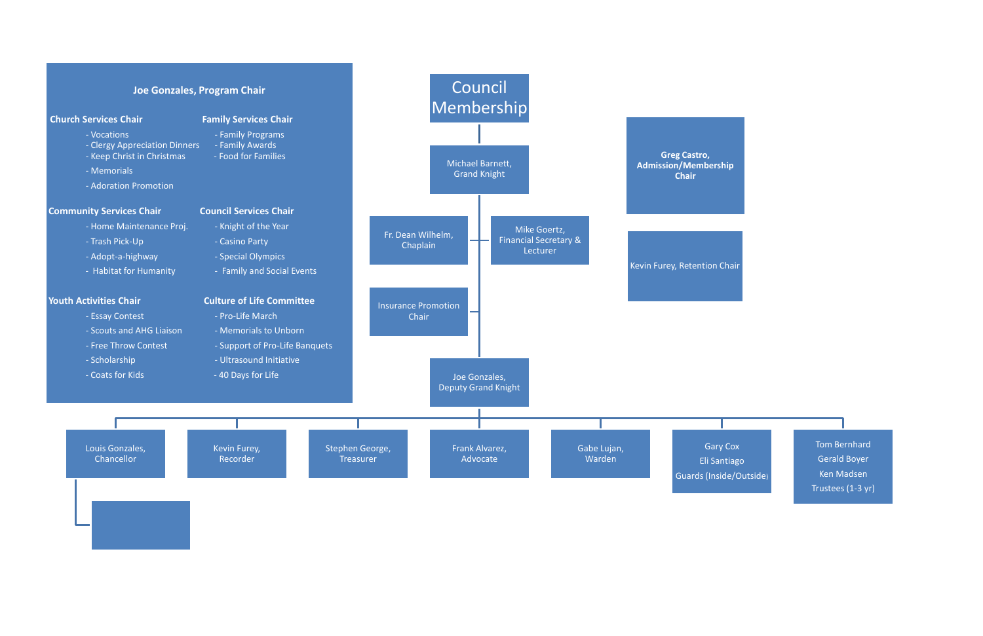

Tom Bernhard Gerald Boyer Ken Madsen Trustees (1-3 yr)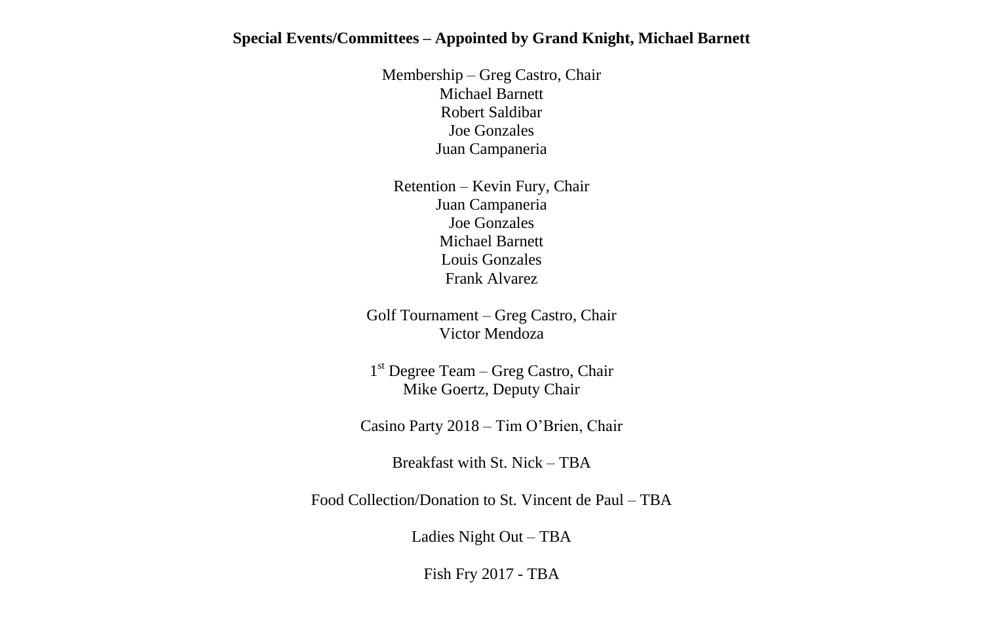# **Special Events/Committees – Appointed by Grand Knight, Michael Barnett**

Membership – Greg Castro, Chair Michael Barnett Robert Saldibar Joe Gonzales Juan Campaneria

Retention – Kevin Fury, Chair Juan Campaneria Joe Gonzales Michael Barnett Louis Gonzales Frank Alvarez

Golf Tournament – Greg Castro, Chair Victor Mendoza

1 st Degree Team – Greg Castro, Chair Mike Goertz, Deputy Chair

Casino Party 2018 – Tim O'Brien, Chair

Breakfast with St. Nick – TBA

Food Collection/Donation to St. Vincent de Paul – TBA

Ladies Night Out – TBA

Fish Fry 2017 - TBA